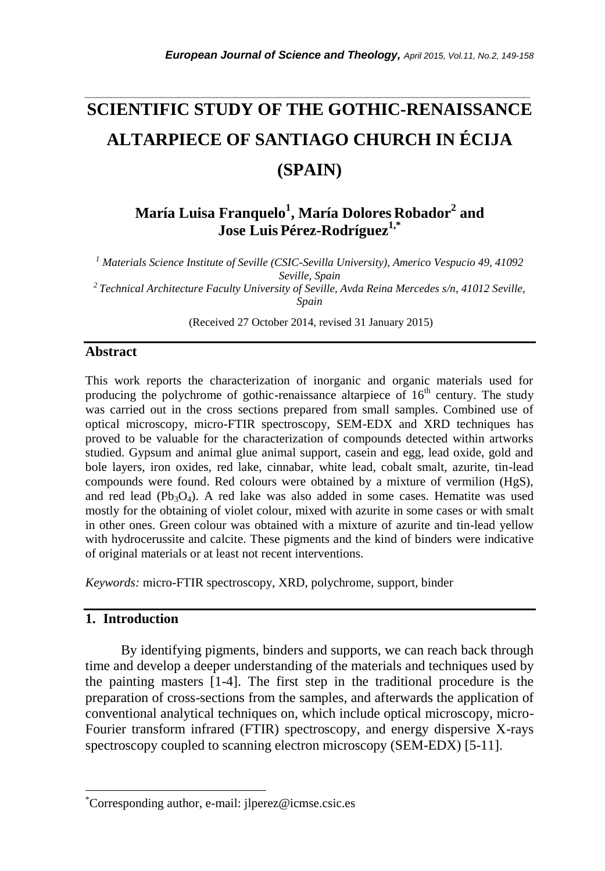# **SCIENTIFIC STUDY OF THE GOTHIC-RENAISSANCE ALTARPIECE OF SANTIAGO CHURCH IN ÉCIJA (SPAIN)**

*\_\_\_\_\_\_\_\_\_\_\_\_\_\_\_\_\_\_\_\_\_\_\_\_\_\_\_\_\_\_\_\_\_\_\_\_\_\_\_\_\_\_\_\_\_\_\_\_\_\_\_\_\_\_\_\_\_\_\_\_\_\_\_\_\_\_\_\_\_\_\_*

**María Luisa Franquelo<sup>1</sup> , María Dolores Robador<sup>2</sup> and Jose Luis Pérez-Rodríguez1,\***

*<sup>1</sup> Materials Science Institute of Seville (CSIC-Sevilla University), Americo Vespucio 49, 41092 Seville, Spain <sup>2</sup>Technical Architecture Faculty University of Seville, Avda Reina Mercedes s/n, 41012 Seville,* 

*Spain*

(Received 27 October 2014, revised 31 January 2015)

#### **Abstract**

This work reports the characterization of inorganic and organic materials used for producing the polychrome of gothic-renaissance altarpiece of  $16<sup>th</sup>$  century. The study was carried out in the cross sections prepared from small samples. Combined use of optical microscopy, micro-FTIR spectroscopy, SEM-EDX and XRD techniques has proved to be valuable for the characterization of compounds detected within artworks studied. Gypsum and animal glue animal support, casein and egg, lead oxide, gold and bole layers, iron oxides, red lake, cinnabar, white lead, cobalt smalt, azurite, tin-lead compounds were found. Red colours were obtained by a mixture of vermilion (HgS), and red lead  $(Pb_3O_4)$ . A red lake was also added in some cases. Hematite was used mostly for the obtaining of violet colour, mixed with azurite in some cases or with smalt in other ones. Green colour was obtained with a mixture of azurite and tin-lead yellow with hydrocerussite and calcite. These pigments and the kind of binders were indicative of original materials or at least not recent interventions.

*Keywords:* micro-FTIR spectroscopy, XRD, polychrome, support, binder

# **1. Introduction**

l

By identifying pigments, binders and supports, we can reach back through time and develop a deeper understanding of the materials and techniques used by the painting masters [1-4]. The first step in the traditional procedure is the preparation of cross-sections from the samples, and afterwards the application of conventional analytical techniques on, which include optical microscopy, micro-Fourier transform infrared (FTIR) spectroscopy, and energy dispersive X-rays spectroscopy coupled to scanning electron microscopy (SEM-EDX) [5-11].

<sup>\*</sup>Corresponding author, e-mail: jlperez@icmse.csic.es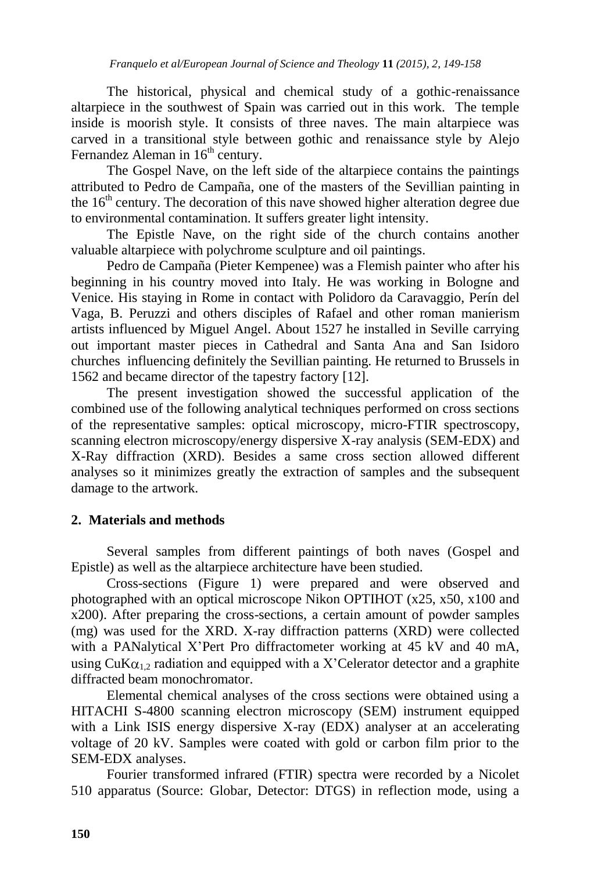The historical, physical and chemical study of a gothic-renaissance altarpiece in the southwest of Spain was carried out in this work. The temple inside is moorish style. It consists of three naves. The main altarpiece was carved in a transitional style between gothic and renaissance style by Alejo Fernandez Aleman in  $16<sup>th</sup>$  century.

The Gospel Nave, on the left side of the altarpiece contains the paintings attributed to Pedro de Campaña, one of the masters of the Sevillian painting in the  $16<sup>th</sup>$  century. The decoration of this nave showed higher alteration degree due to environmental contamination. It suffers greater light intensity.

The Epistle Nave, on the right side of the church contains another valuable altarpiece with polychrome sculpture and oil paintings.

Pedro de Campaña (Pieter Kempenee) was a Flemish painter who after his beginning in his country moved into Italy. He was working in Bologne and Venice. His staying in Rome in contact with Polidoro da Caravaggio, Perín del Vaga, B. Peruzzi and others disciples of Rafael and other roman manierism artists influenced by Miguel Angel. About 1527 he installed in Seville carrying out important master pieces in Cathedral and Santa Ana and San Isidoro churches influencing definitely the Sevillian painting. He returned to Brussels in 1562 and became director of the tapestry factory [12].

The present investigation showed the successful application of the combined use of the following analytical techniques performed on cross sections of the representative samples: optical microscopy, micro-FTIR spectroscopy, scanning electron microscopy/energy dispersive X-ray analysis (SEM-EDX) and X-Ray diffraction (XRD). Besides a same cross section allowed different analyses so it minimizes greatly the extraction of samples and the subsequent damage to the artwork.

# **2. Materials and methods**

Several samples from different paintings of both naves (Gospel and Epistle) as well as the altarpiece architecture have been studied.

Cross-sections (Figure 1) were prepared and were observed and photographed with an optical microscope Nikon OPTIHOT (x25, x50, x100 and x200). After preparing the cross-sections, a certain amount of powder samples (mg) was used for the XRD. X-ray diffraction patterns (XRD) were collected with a PANalytical X"Pert Pro diffractometer working at 45 kV and 40 mA, using  $\text{CuK}\alpha_{12}$  radiation and equipped with a X'Celerator detector and a graphite diffracted beam monochromator.

Elemental chemical analyses of the cross sections were obtained using a HITACHI S-4800 scanning electron microscopy (SEM) instrument equipped with a Link ISIS energy dispersive X-ray (EDX) analyser at an accelerating voltage of 20 kV. Samples were coated with gold or carbon film prior to the SEM-EDX analyses.

Fourier transformed infrared (FTIR) spectra were recorded by a Nicolet 510 apparatus (Source: Globar, Detector: DTGS) in reflection mode, using a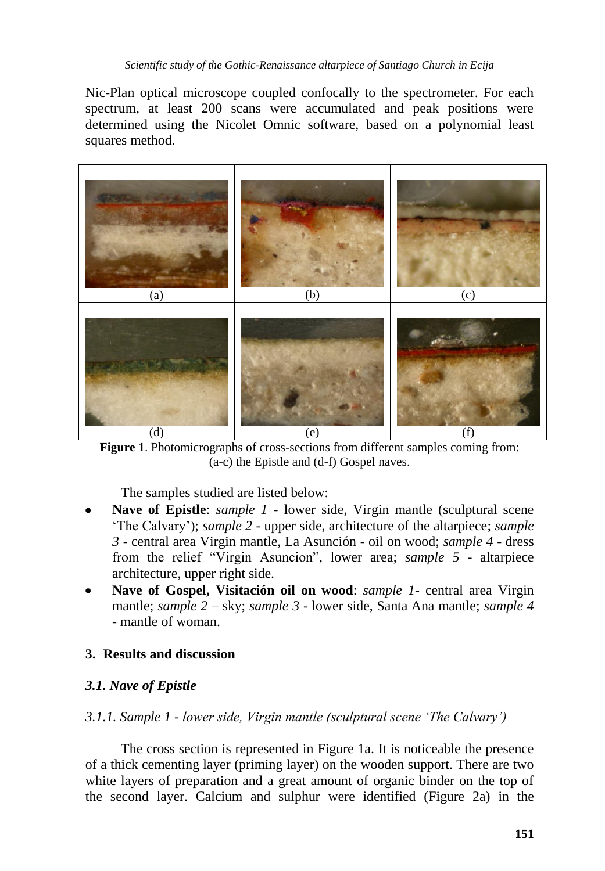Nic-Plan optical microscope coupled confocally to the spectrometer. For each spectrum, at least 200 scans were accumulated and peak positions were determined using the Nicolet Omnic software, based on a polynomial least squares method.



**Figure 1**. Photomicrographs of cross-sections from different samples coming from: (a-c) the Epistle and (d-f) Gospel naves.

The samples studied are listed below:

- **Nave of Epistle**: *sample 1 -* lower side, Virgin mantle (sculptural scene "The Calvary"); *sample 2* - upper side, architecture of the altarpiece; *sample 3* - central area Virgin mantle, La Asunción - oil on wood; *sample 4* - dress from the relief "Virgin Asuncion", lower area; *sample 5* - altarpiece architecture, upper right side.
- **Nave of Gospel, Visitación oil on wood**: *sample 1* central area Virgin mantle; *sample 2* – sky; *sample 3* - lower side, Santa Ana mantle; *sample 4* - mantle of woman.

# **3. Results and discussion**

# *3.1. Nave of Epistle*

# *3.1.1. Sample 1 - lower side, Virgin mantle (sculptural scene 'The Calvary')*

The cross section is represented in Figure 1a. It is noticeable the presence of a thick cementing layer (priming layer) on the wooden support. There are two white layers of preparation and a great amount of organic binder on the top of the second layer. Calcium and sulphur were identified (Figure 2a) in the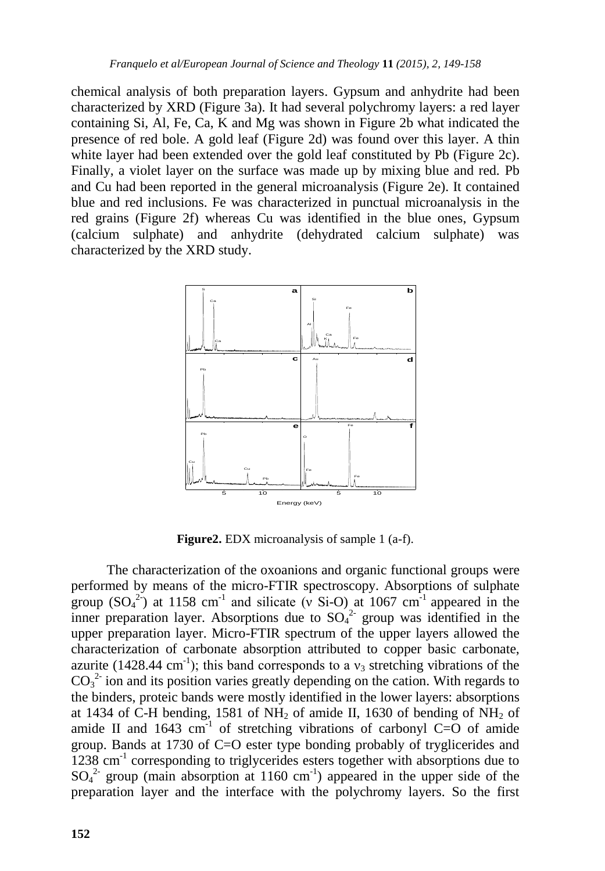chemical analysis of both preparation layers. Gypsum and anhydrite had been characterized by XRD (Figure 3a). It had several polychromy layers: a red layer containing Si, Al, Fe, Ca, K and Mg was shown in Figure 2b what indicated the presence of red bole. A gold leaf (Figure 2d) was found over this layer. A thin white layer had been extended over the gold leaf constituted by Pb (Figure 2c). Finally, a violet layer on the surface was made up by mixing blue and red. Pb and Cu had been reported in the general microanalysis (Figure 2e). It contained blue and red inclusions. Fe was characterized in punctual microanalysis in the red grains (Figure 2f) whereas Cu was identified in the blue ones, Gypsum (calcium sulphate) and anhydrite (dehydrated calcium sulphate) was characterized by the XRD study.



**Figure2.** EDX microanalysis of sample 1 (a-f).

The characterization of the oxoanions and organic functional groups were performed by means of the micro-FTIR spectroscopy. Absorptions of sulphate group  $(SO_4^2)$  at 1158 cm<sup>-1</sup> and silicate (v Si-O) at 1067 cm<sup>-1</sup> appeared in the inner preparation layer. Absorptions due to  $SO_4^2$  group was identified in the upper preparation layer. Micro-FTIR spectrum of the upper layers allowed the characterization of carbonate absorption attributed to copper basic carbonate, azurite (1428.44 cm<sup>-1</sup>); this band corresponds to a  $v_3$  stretching vibrations of the  $CO<sub>3</sub><sup>2</sup>$  ion and its position varies greatly depending on the cation. With regards to the binders, proteic bands were mostly identified in the lower layers: absorptions at 1434 of C-H bending, 1581 of NH<sub>2</sub> of amide II, 1630 of bending of NH<sub>2</sub> of amide II and  $1643 \text{ cm}^{-1}$  of stretching vibrations of carbonyl C=O of amide group. Bands at 1730 of C=O ester type bonding probably of tryglicerides and 1238 cm<sup>-1</sup> corresponding to triglycerides esters together with absorptions due to  $SO_4^2$  group (main absorption at 1160 cm<sup>-1</sup>) appeared in the upper side of the preparation layer and the interface with the polychromy layers. So the first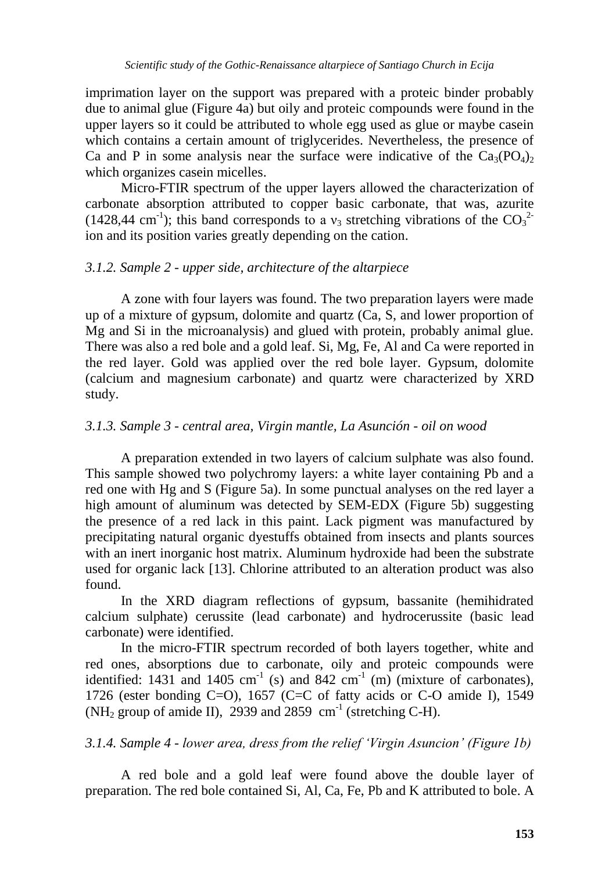imprimation layer on the support was prepared with a proteic binder probably due to animal glue (Figure 4a) but oily and proteic compounds were found in the upper layers so it could be attributed to whole egg used as glue or maybe casein which contains a certain amount of triglycerides. Nevertheless, the presence of Ca and P in some analysis near the surface were indicative of the  $Ca_3(PO_4)$ which organizes casein micelles.

Micro-FTIR spectrum of the upper layers allowed the characterization of carbonate absorption attributed to copper basic carbonate, that was, azurite (1428,44 cm<sup>-1</sup>); this band corresponds to a  $v_3$  stretching vibrations of the CO<sub>3</sub><sup>2</sup> ion and its position varies greatly depending on the cation.

#### *3.1.2. Sample 2 - upper side, architecture of the altarpiece*

A zone with four layers was found. The two preparation layers were made up of a mixture of gypsum, dolomite and quartz (Ca, S, and lower proportion of Mg and Si in the microanalysis) and glued with protein, probably animal glue. There was also a red bole and a gold leaf. Si, Mg, Fe, Al and Ca were reported in the red layer. Gold was applied over the red bole layer. Gypsum, dolomite (calcium and magnesium carbonate) and quartz were characterized by XRD study.

### *3.1.3. Sample 3 - central area, Virgin mantle, La Asunción - oil on wood*

A preparation extended in two layers of calcium sulphate was also found. This sample showed two polychromy layers: a white layer containing Pb and a red one with Hg and S (Figure 5a). In some punctual analyses on the red layer a high amount of aluminum was detected by SEM-EDX (Figure 5b) suggesting the presence of a red lack in this paint. Lack pigment was manufactured by precipitating natural organic dyestuffs obtained from insects and plants sources with an inert inorganic host matrix. Aluminum hydroxide had been the substrate used for organic lack [13]. Chlorine attributed to an alteration product was also found.

In the XRD diagram reflections of gypsum, bassanite (hemihidrated calcium sulphate) cerussite (lead carbonate) and hydrocerussite (basic lead carbonate) were identified.

In the micro-FTIR spectrum recorded of both layers together, white and red ones, absorptions due to carbonate, oily and proteic compounds were identified: 1431 and 1405 cm<sup>-1</sup> (s) and 842 cm<sup>-1</sup> (m) (mixture of carbonates), 1726 (ester bonding C=O), 1657 (C=C of fatty acids or C-O amide I), 1549 (NH<sub>2</sub> group of amide II), 2939 and 2859 cm<sup>-1</sup> (stretching C-H).

# *3.1.4. Sample 4 - lower area, dress from the relief 'Virgin Asuncion' (Figure 1b)*

A red bole and a gold leaf were found above the double layer of preparation. The red bole contained Si, Al, Ca, Fe, Pb and K attributed to bole. A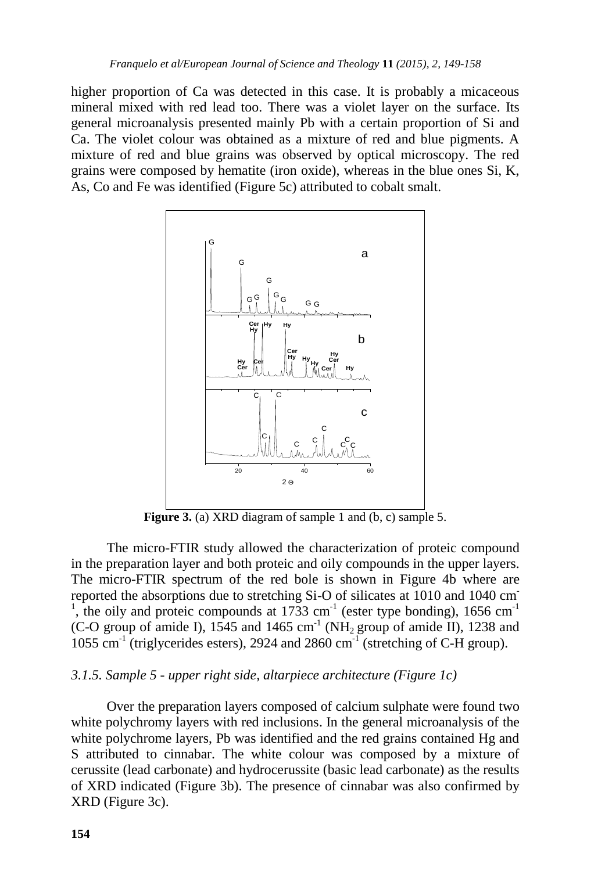higher proportion of Ca was detected in this case. It is probably a micaceous mineral mixed with red lead too. There was a violet layer on the surface. Its general microanalysis presented mainly Pb with a certain proportion of Si and Ca. The violet colour was obtained as a mixture of red and blue pigments. A mixture of red and blue grains was observed by optical microscopy. The red grains were composed by hematite (iron oxide), whereas in the blue ones Si, K, As, Co and Fe was identified (Figure 5c) attributed to cobalt smalt.



**Figure 3.** (a) XRD diagram of sample 1 and (b, c) sample 5.

The micro-FTIR study allowed the characterization of proteic compound in the preparation layer and both proteic and oily compounds in the upper layers. The micro-FTIR spectrum of the red bole is shown in Figure 4b where are reported the absorptions due to stretching Si-O of silicates at 1010 and 1040 cm-<sup>1</sup>, the oily and proteic compounds at 1733 cm<sup>-1</sup> (ester type bonding), 1656 cm<sup>-1</sup> (C-O group of amide I), 1545 and 1465 cm<sup>-1</sup> (NH<sub>2</sub> group of amide II), 1238 and  $1055$  cm<sup>-1</sup> (triglycerides esters), 2924 and 2860 cm<sup>-1</sup> (stretching of C-H group).

#### *3.1.5. Sample 5 - upper right side, altarpiece architecture (Figure 1c)*

Over the preparation layers composed of calcium sulphate were found two white polychromy layers with red inclusions. In the general microanalysis of the white polychrome layers, Pb was identified and the red grains contained Hg and S attributed to cinnabar. The white colour was composed by a mixture of cerussite (lead carbonate) and hydrocerussite (basic lead carbonate) as the results of XRD indicated (Figure 3b). The presence of cinnabar was also confirmed by XRD (Figure 3c).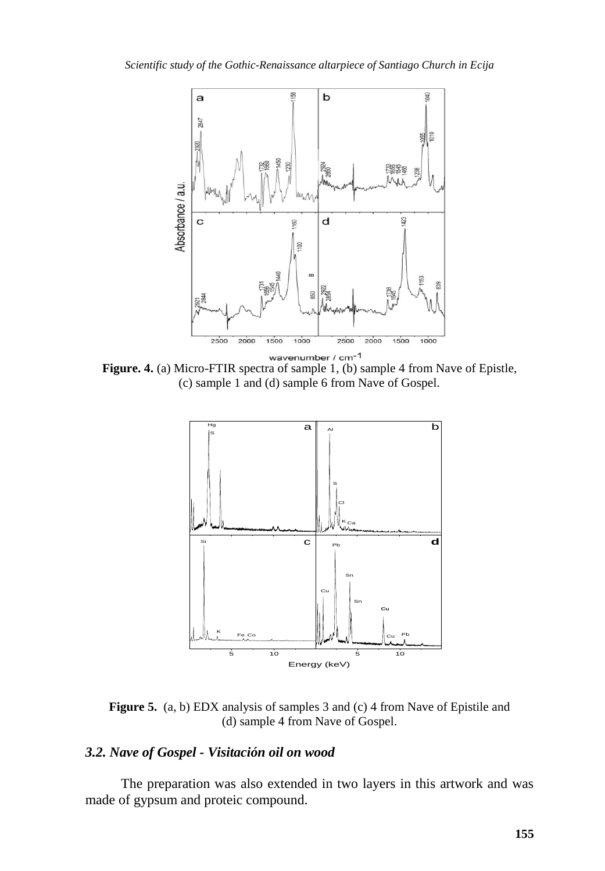

**Figure. 4.** (a) Micro-FTIR spectra of sample 1, (b) sample 4 from Nave of Epistle, (c) sample 1 and (d) sample 6 from Nave of Gospel.



**Figure 5.** (a, b) EDX analysis of samples 3 and (c) 4 from Nave of Epistile and (d) sample 4 from Nave of Gospel.

# *3.2. Nave of Gospel - Visitación oil on wood*

The preparation was also extended in two layers in this artwork and was made of gypsum and proteic compound.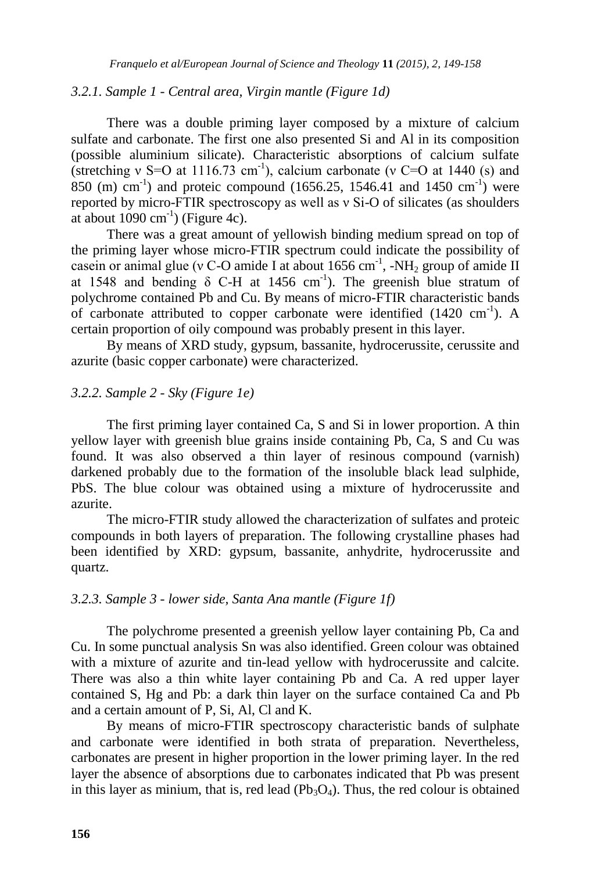#### *3.2.1. Sample 1 - Central area, Virgin mantle (Figure 1d)*

There was a double priming layer composed by a mixture of calcium sulfate and carbonate. The first one also presented Si and Al in its composition (possible aluminium silicate). Characteristic absorptions of calcium sulfate (stretching v S=O at 1116.73 cm<sup>-1</sup>), calcium carbonate (v C=O at 1440 (s) and 850 (m)  $\text{cm}^{-1}$ ) and proteic compound (1656.25, 1546.41 and 1450  $\text{cm}^{-1}$ ) were reported by micro-FTIR spectroscopy as well as ν Si-O of silicates (as shoulders at about  $1090 \text{ cm}^{-1}$ ) (Figure 4c).

There was a great amount of yellowish binding medium spread on top of the priming layer whose micro-FTIR spectrum could indicate the possibility of casein or animal glue (v C-O amide I at about 1656 cm<sup>-1</sup>, -NH<sub>2</sub> group of amide II at 1548 and bending  $\delta$  C-H at 1456 cm<sup>-1</sup>). The greenish blue stratum of polychrome contained Pb and Cu. By means of micro-FTIR characteristic bands of carbonate attributed to copper carbonate were identified  $(1420 \text{ cm}^{-1})$ . A certain proportion of oily compound was probably present in this layer.

By means of XRD study, gypsum, bassanite, hydrocerussite, cerussite and azurite (basic copper carbonate) were characterized.

#### *3.2.2. Sample 2 - Sky (Figure 1e)*

The first priming layer contained Ca, S and Si in lower proportion. A thin yellow layer with greenish blue grains inside containing Pb, Ca, S and Cu was found. It was also observed a thin layer of resinous compound (varnish) darkened probably due to the formation of the insoluble black lead sulphide, PbS. The blue colour was obtained using a mixture of hydrocerussite and azurite.

The micro-FTIR study allowed the characterization of sulfates and proteic compounds in both layers of preparation. The following crystalline phases had been identified by XRD: gypsum, bassanite, anhydrite, hydrocerussite and quartz.

## *3.2.3. Sample 3 - lower side, Santa Ana mantle (Figure 1f)*

The polychrome presented a greenish yellow layer containing Pb, Ca and Cu. In some punctual analysis Sn was also identified. Green colour was obtained with a mixture of azurite and tin-lead yellow with hydrocerussite and calcite. There was also a thin white layer containing Pb and Ca. A red upper layer contained S, Hg and Pb: a dark thin layer on the surface contained Ca and Pb and a certain amount of P, Si, Al, Cl and K.

By means of micro-FTIR spectroscopy characteristic bands of sulphate and carbonate were identified in both strata of preparation. Nevertheless, carbonates are present in higher proportion in the lower priming layer. In the red layer the absence of absorptions due to carbonates indicated that Pb was present in this layer as minium, that is, red lead  $(Pb_3O_4)$ . Thus, the red colour is obtained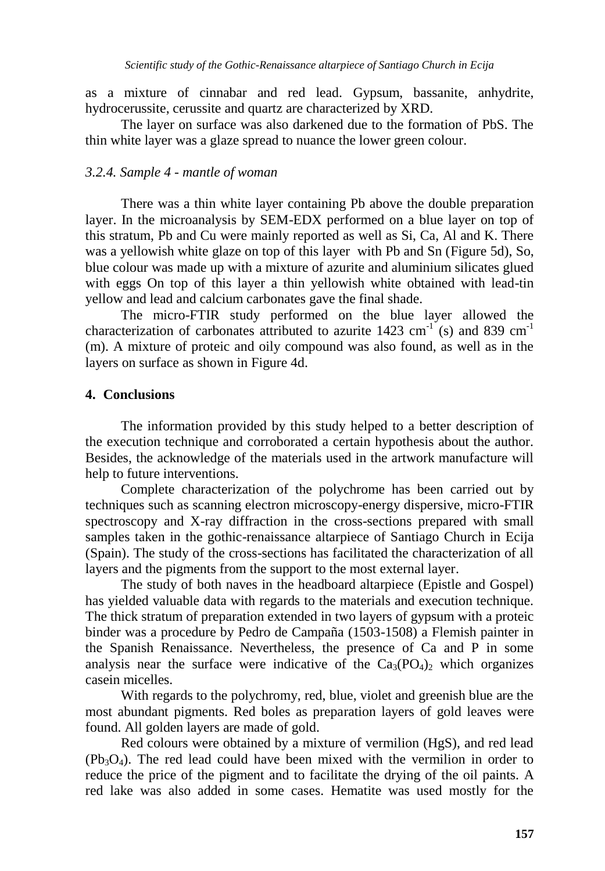as a mixture of cinnabar and red lead. Gypsum, bassanite, anhydrite, hydrocerussite, cerussite and quartz are characterized by XRD.

The layer on surface was also darkened due to the formation of PbS. The thin white layer was a glaze spread to nuance the lower green colour.

#### *3.2.4. Sample 4 - mantle of woman*

There was a thin white layer containing Pb above the double preparation layer. In the microanalysis by SEM-EDX performed on a blue layer on top of this stratum, Pb and Cu were mainly reported as well as Si, Ca, Al and K. There was a yellowish white glaze on top of this layer with Pb and Sn (Figure 5d), So, blue colour was made up with a mixture of azurite and aluminium silicates glued with eggs On top of this layer a thin yellowish white obtained with lead-tin yellow and lead and calcium carbonates gave the final shade.

The micro-FTIR study performed on the blue layer allowed the characterization of carbonates attributed to azurite 1423 cm<sup>-1</sup> (s) and 839 cm<sup>-1</sup> (m). A mixture of proteic and oily compound was also found, as well as in the layers on surface as shown in Figure 4d.

#### **4. Conclusions**

The information provided by this study helped to a better description of the execution technique and corroborated a certain hypothesis about the author. Besides, the acknowledge of the materials used in the artwork manufacture will help to future interventions.

Complete characterization of the polychrome has been carried out by techniques such as scanning electron microscopy-energy dispersive, micro-FTIR spectroscopy and X-ray diffraction in the cross-sections prepared with small samples taken in the gothic-renaissance altarpiece of Santiago Church in Ecija (Spain). The study of the cross-sections has facilitated the characterization of all layers and the pigments from the support to the most external layer.

The study of both naves in the headboard altarpiece (Epistle and Gospel) has yielded valuable data with regards to the materials and execution technique. The thick stratum of preparation extended in two layers of gypsum with a proteic binder was a procedure by Pedro de Campaña (1503-1508) a Flemish painter in the Spanish Renaissance. Nevertheless, the presence of Ca and P in some analysis near the surface were indicative of the  $Ca_3(PO_4)_2$  which organizes casein micelles.

With regards to the polychromy, red, blue, violet and greenish blue are the most abundant pigments. Red boles as preparation layers of gold leaves were found. All golden layers are made of gold.

Red colours were obtained by a mixture of vermilion (HgS), and red lead  $(Pb_3O_4)$ . The red lead could have been mixed with the vermilion in order to reduce the price of the pigment and to facilitate the drying of the oil paints. A red lake was also added in some cases. Hematite was used mostly for the